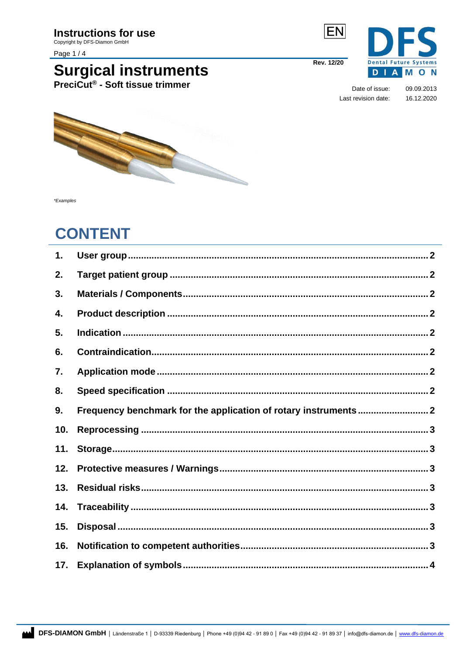Copyright by DFS-Diamon GmbH

Page 1/4

# **Surgical instruments**<br>PreciCut® - Soft tissue trimmer



Rev. 12/20

Date of issue: 09.09.2013 Last revision date: 16.12.2020

**DIAMON** 

5



\*Examples

## **CONTENT**

<span id="page-0-0"></span>

| 1.  |  |
|-----|--|
| 2.  |  |
| 3.  |  |
| 4.  |  |
| 5.  |  |
| 6.  |  |
| 7.  |  |
| 8.  |  |
| 9.  |  |
| 10. |  |
| 11. |  |
| 12. |  |
| 13. |  |
| 14. |  |
| 15. |  |
| 16. |  |
| 17. |  |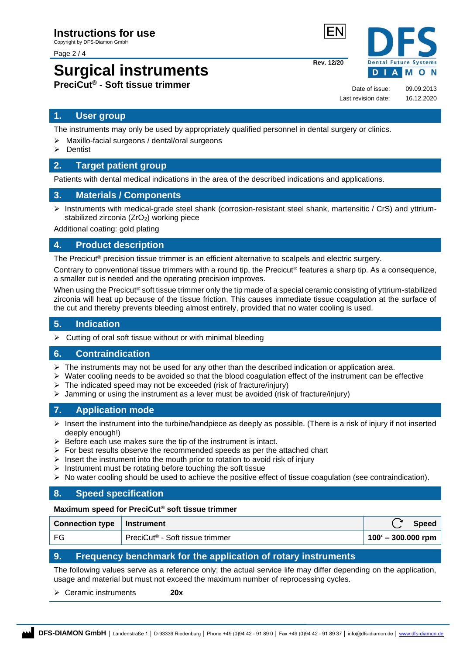Page 2 / 4

## **Surgical instruments PreciCut® - Soft tissue trimmer**

Date of issue: 09.09.2013 Last revision date: 16.12.2020

**Rev. 12/20**

#### **1. User group**

The instruments may only be used by appropriately qualified personnel in dental surgery or clinics.

- ➢ Maxillo-facial surgeons / dental/oral surgeons
- ➢ Dentist

#### <span id="page-1-0"></span>**2. Target patient group**

Patients with dental medical indications in the area of the described indications and applications.

#### <span id="page-1-1"></span>**3. Materials / Components**

➢ Instruments with medical-grade steel shank (corrosion-resistant steel shank, martensitic / CrS) and yttriumstabilized zirconia (ZrO<sub>2</sub>) working piece

Additional coating: gold plating

#### <span id="page-1-2"></span>**4. Product description**

The Precicut<sup>®</sup> precision tissue trimmer is an efficient alternative to scalpels and electric surgery.

Contrary to conventional tissue trimmers with a round tip, the Precicut<sup>®</sup> features a sharp tip. As a consequence, a smaller cut is needed and the operating precision improves.

When using the Precicut® soft tissue trimmer only the tip made of a special ceramic consisting of yttrium-stabilized zirconia will heat up because of the tissue friction. This causes immediate tissue coagulation at the surface of the cut and thereby prevents bleeding almost entirely, provided that no water cooling is used.

#### <span id="page-1-3"></span>**5. Indication**

 $\triangleright$  Cutting of oral soft tissue without or with minimal bleeding

#### <span id="page-1-4"></span>**6. Contraindication**

- $\triangleright$  The instruments may not be used for any other than the described indication or application area.
- $\triangleright$  Water cooling needs to be avoided so that the blood coagulation effect of the instrument can be effective
- ➢ The indicated speed may not be exceeded (risk of fracture/injury)
- $\triangleright$  Jamming or using the instrument as a lever must be avoided (risk of fracture/injury)

#### <span id="page-1-5"></span>**7. Application mode**

- $\triangleright$  Insert the instrument into the turbine/handpiece as deeply as possible. (There is a risk of injury if not inserted deeply enough!)
- $\triangleright$  Before each use makes sure the tip of the instrument is intact.
- $\triangleright$  For best results observe the recommended speeds as per the attached chart
- $\triangleright$  Insert the instrument into the mouth prior to rotation to avoid risk of injury
- $\triangleright$  Instrument must be rotating before touching the soft tissue
- $\triangleright$  No water cooling should be used to achieve the positive effect of tissue coagulation (see contraindication).

#### <span id="page-1-6"></span>**8. Speed specification**

#### **Maximum speed for PreciCut® soft tissue trimmer**

| Connection type   Instrument |                                             | <b>Speed</b>                |
|------------------------------|---------------------------------------------|-----------------------------|
| FG                           | PreciCut <sup>®</sup> - Soft tissue trimmer | $100^{\circ}$ – 300.000 rpm |

#### <span id="page-1-7"></span>**9. Frequency benchmark for the application of rotary instruments**

The following values serve as a reference only; the actual service life may differ depending on the application, usage and material but must not exceed the maximum number of reprocessing cycles.

➢ Ceramic instruments **20x**

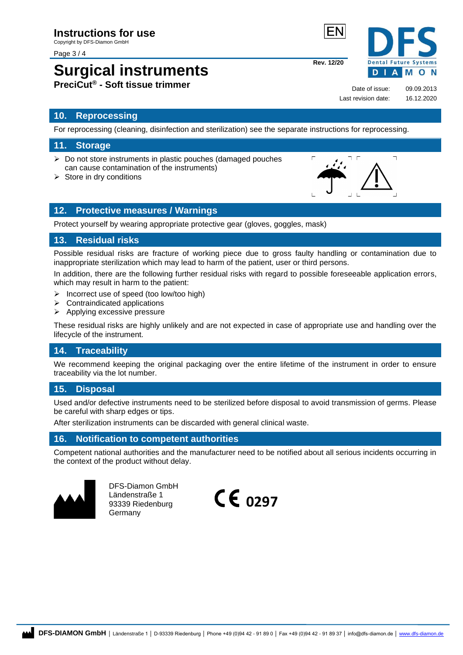#### Page 3 / 4

### **Surgical instruments PreciCut® - Soft tissue trimmer**

#### <span id="page-2-0"></span>**10. Reprocessing**

For reprocessing (cleaning, disinfection and sterilization) see the separate instructions for reprocessing.

#### <span id="page-2-1"></span>**11. Storage**

- ➢ Do not store instruments in plastic pouches (damaged pouches can cause contamination of the instruments)
- $\triangleright$  Store in dry conditions

#### <span id="page-2-2"></span>**12. Protective measures / Warnings**

Protect yourself by wearing appropriate protective gear (gloves, goggles, mask)

#### <span id="page-2-3"></span>**13. Residual risks**

Possible residual risks are fracture of working piece due to gross faulty handling or contamination due to inappropriate sterilization which may lead to harm of the patient, user or third persons.

In addition, there are the following further residual risks with regard to possible foreseeable application errors, which may result in harm to the patient:

- ➢ Incorrect use of speed (too low/too high)
- $\triangleright$  Contraindicated applications
- ➢ Applying excessive pressure

These residual risks are highly unlikely and are not expected in case of appropriate use and handling over the lifecycle of the instrument.

#### <span id="page-2-4"></span>**14. Traceability**

We recommend keeping the original packaging over the entire lifetime of the instrument in order to ensure traceability via the lot number.

#### <span id="page-2-5"></span>**15. Disposal**

Used and/or defective instruments need to be sterilized before disposal to avoid transmission of germs. Please be careful with sharp edges or tips.

After sterilization instruments can be discarded with general clinical waste.

#### <span id="page-2-6"></span>**16. Notification to competent authorities**

Competent national authorities and the manufacturer need to be notified about all serious incidents occurring in the context of the product without delay.



DFS-Diamon GmbH Ländenstraße 1 93339 Riedenburg Germany



**Rev. 12/20**

Date of issue: 09.09.2013 Last revision date: 16.12.2020

D

**Dental Future Systems** 

 $\overline{\mathbf{u}}$ 

**IAMON**